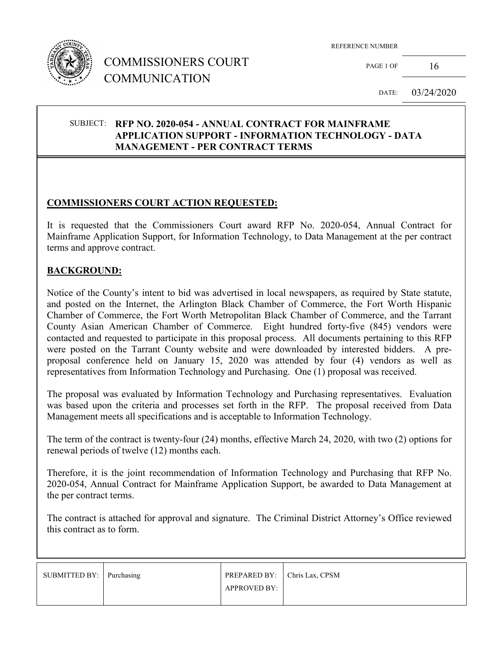

## COMMISSIONERS COURT COMMUNICATION

REFERENCE NUMBER

PAGE 1 OF  $16$ 

DATE: 03/24/2020

#### SUBJECT: **RFP NO. 2020-054 - ANNUAL CONTRACT FOR MAINFRAME APPLICATION SUPPORT - INFORMATION TECHNOLOGY - DATA MANAGEMENT - PER CONTRACT TERMS**

## **COMMISSIONERS COURT ACTION REQUESTED:**

It is requested that the Commissioners Court award RFP No. 2020-054, Annual Contract for Mainframe Application Support, for Information Technology, to Data Management at the per contract terms and approve contract.

#### **BACKGROUND:**

Notice of the County's intent to bid was advertised in local newspapers, as required by State statute, and posted on the Internet, the Arlington Black Chamber of Commerce, the Fort Worth Hispanic Chamber of Commerce, the Fort Worth Metropolitan Black Chamber of Commerce, and the Tarrant County Asian American Chamber of Commerce. Eight hundred forty-five (845) vendors were contacted and requested to participate in this proposal process. All documents pertaining to this RFP were posted on the Tarrant County website and were downloaded by interested bidders. A preproposal conference held on January 15, 2020 was attended by four (4) vendors as well as representatives from Information Technology and Purchasing. One (1) proposal was received.

The proposal was evaluated by Information Technology and Purchasing representatives. Evaluation was based upon the criteria and processes set forth in the RFP. The proposal received from Data Management meets all specifications and is acceptable to Information Technology.

The term of the contract is twenty-four (24) months, effective March 24, 2020, with two (2) options for renewal periods of twelve (12) months each.

Therefore, it is the joint recommendation of Information Technology and Purchasing that RFP No. 2020-054, Annual Contract for Mainframe Application Support, be awarded to Data Management at the per contract terms.

The contract is attached for approval and signature. The Criminal District Attorney's Office reviewed this contract as to form.

| SUBMITTED BY: Purchasing | PREPARED BY: Chris Lax, CPSM |  |
|--------------------------|------------------------------|--|
|                          | <b>APPROVED BY:</b>          |  |